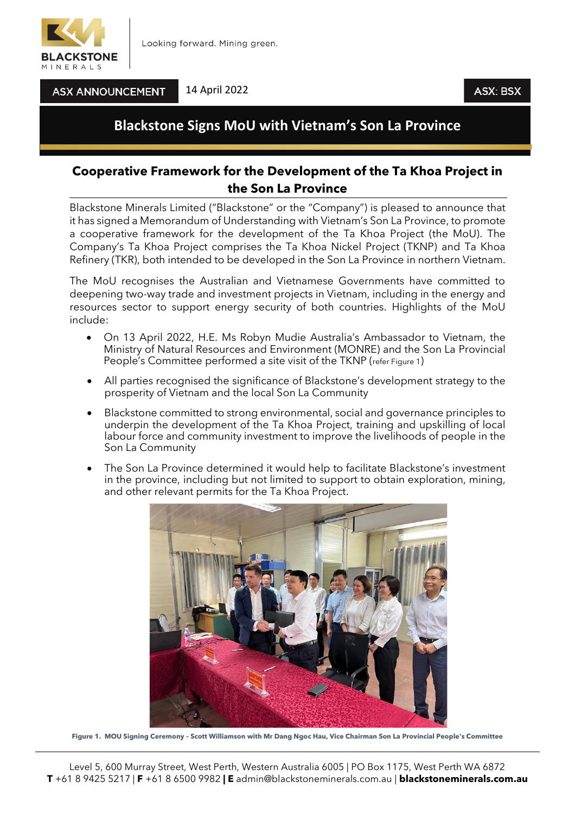

**ASX ANNOUNCEMENT** 

14 April 2022

## **Blackstone Signs MoU with Vietnam's Son La Province**

## **Cooperative Framework for the Development of the Ta Khoa Project in the Son La Province**

Blackstone Minerals Limited ("Blackstone" or the "Company") is pleased to announce that it has signed a Memorandum of Understanding with Vietnam's Son La Province, to promote a cooperative framework for the development of the Ta Khoa Project (the MoU). The Company's Ta Khoa Project comprises the Ta Khoa Nickel Project (TKNP) and Ta Khoa Refinery (TKR), both intended to be developed in the Son La Province in northern Vietnam.

The MoU recognises the Australian and Vietnamese Governments have committed to deepening two-way trade and investment projects in Vietnam, including in the energy and resources sector to support energy security of both countries. Highlights of the MoU include:

- On 13 April 2022, H.E. Ms Robyn Mudie Australia's Ambassador to Vietnam, the Ministry of Natural Resources and Environment (MONRE) and the Son La Provincial People's Committee performed a site visit of the TKNP (refer Figure 1)
- All parties recognised the significance of Blackstone's development strategy to the prosperity of Vietnam and the local Son La Community
- Blackstone committed to strong environmental, social and governance principles to underpin the development of the Ta Khoa Project, training and upskilling of local labour force and community investment to improve the livelihoods of people in the Son La Community
- The Son La Province determined it would help to facilitate Blackstone's investment in the province, including but not limited to support to obtain exploration, mining, and other relevant permits for the Ta Khoa Project.



**Figure 1. MOU Signing Ceremony – Scott Williamson with Mr Dang Ngoc Hau, Vice Chairman Son La Provincial People's Committee**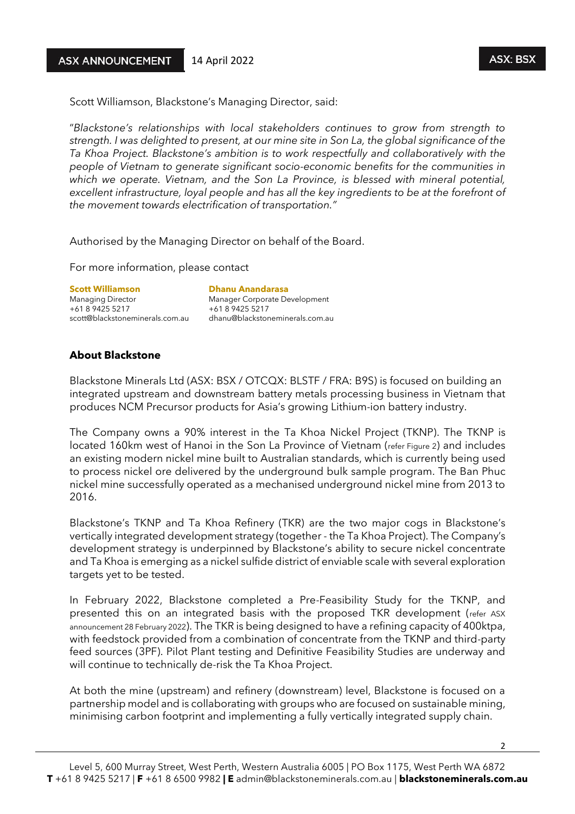Scott Williamson, Blackstone's Managing Director, said:

"*Blackstone's relationships with local stakeholders continues to grow from strength to strength. I was delighted to present, at our mine site in Son La, the global significance of the Ta Khoa Project. Blackstone's ambition is to work respectfully and collaboratively with the people of Vietnam to generate significant socio-economic benefits for the communities in which we operate. Vietnam, and the Son La Province, is blessed with mineral potential, excellent infrastructure, loyal people and has all the key ingredients to be at the forefront of the movement towards electrification of transportation."*

Authorised by the Managing Director on behalf of the Board.

For more information, please contact

**Scott Williamson Exercise Scott Williamson**<br>
Managing Director **Districts Anandary Manager Corporate De** +61 8 9425 5217 +61 8 9425 5217

Manager Corporate Development scott@blackstoneminerals.com.au dhanu@blackstoneminerals.com.au

## **About Blackstone**

Blackstone Minerals Ltd (ASX: BSX / OTCQX: BLSTF / FRA: B9S) is focused on building an integrated upstream and downstream battery metals processing business in Vietnam that produces NCM Precursor products for Asia's growing Lithium-ion battery industry.

The Company owns a 90% interest in the Ta Khoa Nickel Project (TKNP). The TKNP is located 160km west of Hanoi in the Son La Province of Vietnam (refer Figure 2) and includes an existing modern nickel mine built to Australian standards, which is currently being used to process nickel ore delivered by the underground bulk sample program. The Ban Phuc nickel mine successfully operated as a mechanised underground nickel mine from 2013 to 2016.

Blackstone's TKNP and Ta Khoa Refinery (TKR) are the two major cogs in Blackstone's vertically integrated development strategy (together - the Ta Khoa Project). The Company's development strategy is underpinned by Blackstone's ability to secure nickel concentrate and Ta Khoa is emerging as a nickel sulfide district of enviable scale with several exploration targets yet to be tested.

In February 2022, Blackstone completed a Pre-Feasibility Study for the TKNP, and presented this on an integrated basis with the proposed TKR development (refer ASX announcement 28 February 2022). The TKR is being designed to have a refining capacity of 400ktpa, with feedstock provided from a combination of concentrate from the TKNP and third-party feed sources (3PF). Pilot Plant testing and Definitive Feasibility Studies are underway and will continue to technically de-risk the Ta Khoa Project.

At both the mine (upstream) and refinery (downstream) level, Blackstone is focused on a partnership model and is collaborating with groups who are focused on sustainable mining, minimising carbon footprint and implementing a fully vertically integrated supply chain.